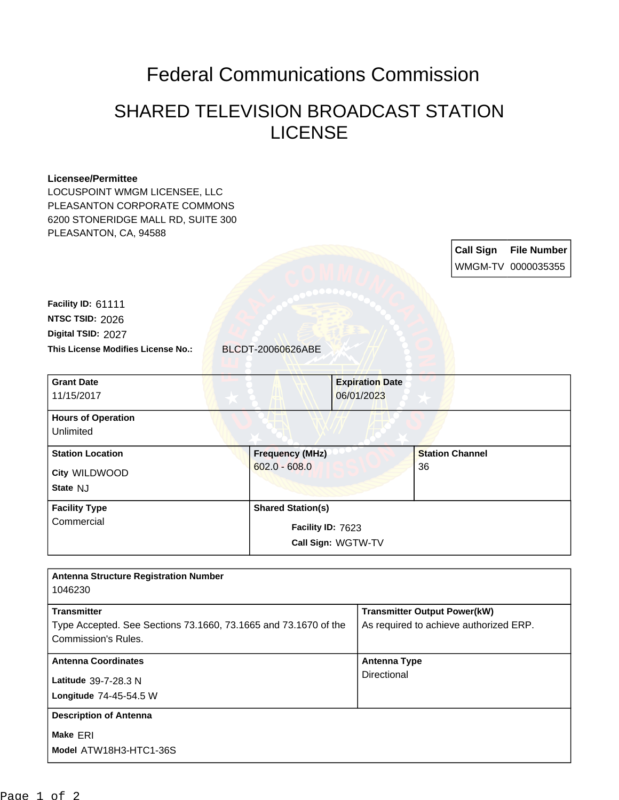## Federal Communications Commission

## SHARED TELEVISION BROADCAST STATION LICENSE

## **Licensee/Permittee**

LOCUSPOINT WMGM LICENSEE, LLC PLEASANTON CORPORATE COMMONS 6200 STONERIDGE MALL RD, SUITE 300 PLEASANTON, CA, 94588

> **Call Sign File Number** WMGM-TV 0000035355

**This License Modifies License No.:** BLCDT-20060626ABE **Digital TSID:** 2027 **NTSC TSID:** 2026 **Facility ID:** 61111

| <b>Grant Date</b><br>11/15/2017                      | <b>Expiration Date</b><br>06/01/2023                                |                              |
|------------------------------------------------------|---------------------------------------------------------------------|------------------------------|
| <b>Hours of Operation</b><br>Unlimited               |                                                                     |                              |
| <b>Station Location</b><br>City WILDWOOD<br>State NJ | <b>Frequency (MHz)</b><br>$602.0 - 608.0$                           | <b>Station Channel</b><br>36 |
| <b>Facility Type</b><br>Commercial                   | <b>Shared Station(s)</b><br>Facility ID: 7623<br>Call Sign: WGTW-TV |                              |

| <b>Antenna Structure Registration Number</b>                    |                                        |
|-----------------------------------------------------------------|----------------------------------------|
| 1046230                                                         |                                        |
| <b>Transmitter</b>                                              | <b>Transmitter Output Power(kW)</b>    |
| Type Accepted. See Sections 73.1660, 73.1665 and 73.1670 of the | As required to achieve authorized ERP. |
| Commission's Rules.                                             |                                        |
| <b>Antenna Coordinates</b>                                      | Antenna Type                           |
| Latitude 39-7-28.3 N                                            | Directional                            |
| Longitude 74-45-54.5 W                                          |                                        |
| <b>Description of Antenna</b>                                   |                                        |
| Make ERI                                                        |                                        |
| Model ATW18H3-HTC1-36S                                          |                                        |